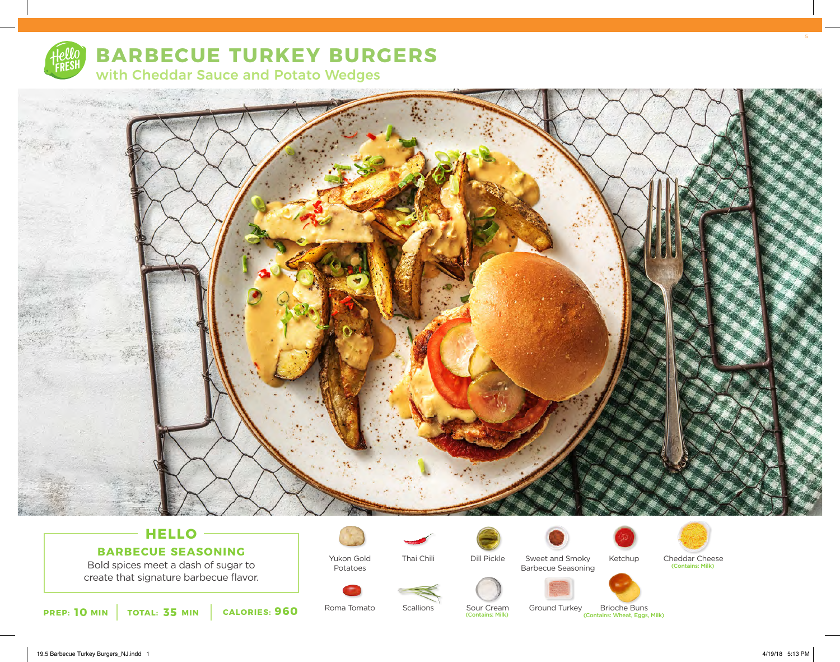

# **BARBECUE TURKEY BURGERS**

with Cheddar Sauce and Potato Wedges



## **HELLO BARBECUE SEASONING**

Bold spices meet a dash of sugar to create that signature barbecue flavor.



Thai Chili

**Scallions** 



Sweet and Smoky Barbecue Seasoning





**10 MIN TOTAL: 35 MIN CALORIES: 960** Roma Iomato Scallions Sour Cream Ground Turkey Brioche Buns (Contains: Wheat, Eggs, Milk)

Roma Tomato

Potatoes

Sour Cream<br>(Contains: Milk)

Ground Turkey Brioche Buns<br>
Contains: Wheat, Eggs, Milk) Brioche Buns